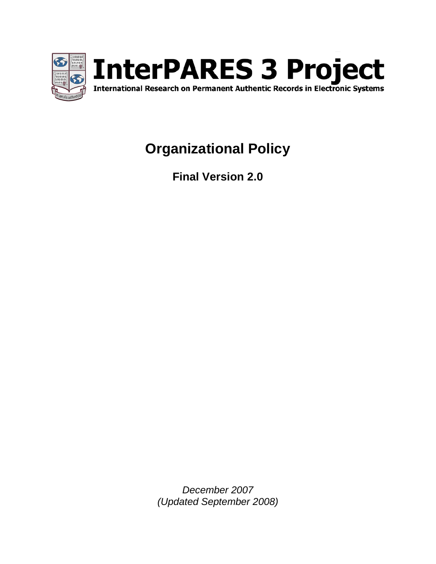

# **Organizational Policy**

**Final Version 2.0**

<span id="page-0-0"></span>*December 2007 (Updated September 2008)*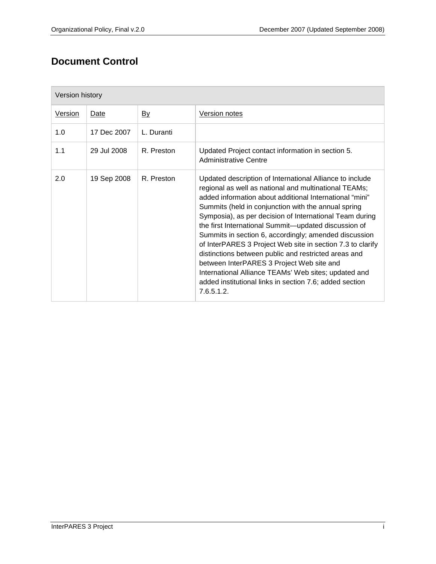## **Document Control**

| Version history |             |            |                                                                                                                                                                                                                                                                                                                                                                                                                                                                                                                                                                                                                                                                                                                    |  |  |  |
|-----------------|-------------|------------|--------------------------------------------------------------------------------------------------------------------------------------------------------------------------------------------------------------------------------------------------------------------------------------------------------------------------------------------------------------------------------------------------------------------------------------------------------------------------------------------------------------------------------------------------------------------------------------------------------------------------------------------------------------------------------------------------------------------|--|--|--|
| <b>Version</b>  | Date        | <u>By</u>  | <b>Version notes</b>                                                                                                                                                                                                                                                                                                                                                                                                                                                                                                                                                                                                                                                                                               |  |  |  |
| 1.0             | 17 Dec 2007 | L. Duranti |                                                                                                                                                                                                                                                                                                                                                                                                                                                                                                                                                                                                                                                                                                                    |  |  |  |
| 1.1             | 29 Jul 2008 | R. Preston | Updated Project contact information in section 5.<br>Administrative Centre                                                                                                                                                                                                                                                                                                                                                                                                                                                                                                                                                                                                                                         |  |  |  |
| 2.0             | 19 Sep 2008 | R. Preston | Updated description of International Alliance to include<br>regional as well as national and multinational TEAMs;<br>added information about additional International "mini"<br>Summits (held in conjunction with the annual spring<br>Symposia), as per decision of International Team during<br>the first International Summit-updated discussion of<br>Summits in section 6, accordingly; amended discussion<br>of InterPARES 3 Project Web site in section 7.3 to clarify<br>distinctions between public and restricted areas and<br>between InterPARES 3 Project Web site and<br>International Alliance TEAMs' Web sites; updated and<br>added institutional links in section 7.6; added section<br>7.6.5.1.2 |  |  |  |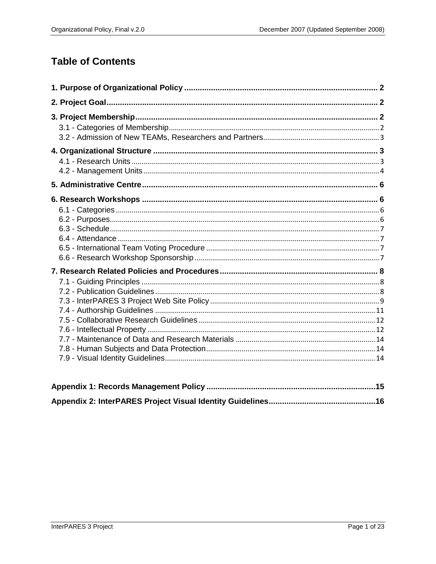## **Table of Contents**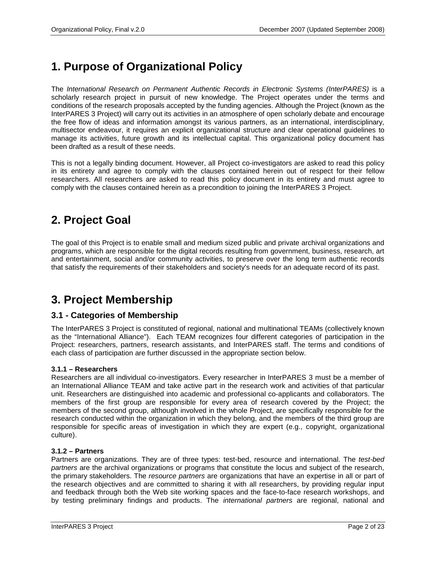## <span id="page-3-0"></span>**1. Purpose of Organizational Policy**

The *International Research on Permanent Authentic Records in Electronic Systems (InterPARES)* is a scholarly research project in pursuit of new knowledge. The Project operates under the terms and conditions of the research proposals accepted by the funding agencies. Although the Project (known as the InterPARES 3 Project) will carry out its activities in an atmosphere of open scholarly debate and encourage the free flow of ideas and information amongst its various partners, as an international, interdisciplinary, multisector endeavour, it requires an explicit organizational structure and clear operational guidelines to manage its activities, future growth and its intellectual capital. This organizational policy document has been drafted as a result of these needs.

This is not a legally binding document. However, all Project co-investigators are asked to read this policy in its entirety and agree to comply with the clauses contained herein out of respect for their fellow researchers. All researchers are asked to read this policy document in its entirety and must agree to comply with the clauses contained herein as a precondition to joining the InterPARES 3 Project.

## <span id="page-3-1"></span>**2. Project Goal**

The goal of this Project is to enable small and medium sized public and private archival organizations and programs, which are responsible for the digital records resulting from government, business, research, art and entertainment, social and/or community activities, to preserve over the long term authentic records that satisfy the requirements of their stakeholders and society's needs for an adequate record of its past.

## <span id="page-3-2"></span>**3. Project Membership**

## <span id="page-3-3"></span>**3.1 - Categories of Membership**

The InterPARES 3 Project is constituted of regional, national and multinational TEAMs (collectively known as the "International Alliance"). Each TEAM recognizes four different categories of participation in the Project: researchers, partners, research assistants, and InterPARES staff. The terms and conditions of each class of participation are further discussed in the appropriate section below.

#### **3.1.1 – Researchers**

Researchers are all individual co-investigators. Every researcher in InterPARES 3 must be a member of an International Alliance TEAM and take active part in the research work and activities of that particular unit. Researchers are distinguished into academic and professional co-applicants and collaborators. The members of the first group are responsible for every area of research covered by the Project; the members of the second group, although involved in the whole Project, are specifically responsible for the research conducted within the organization in which they belong, and the members of the third group are responsible for specific areas of investigation in which they are expert (e.g., copyright, organizational culture).

#### **3.1.2 – Partners**

Partners are organizations. They are of three types: test-bed, resource and international. The *test-bed partners* are the archival organizations or programs that constitute the locus and subject of the research, the primary stakeholders. The *resource partners* are organizations that have an expertise in all or part of the research objectives and are committed to sharing it with all researchers, by providing regular input and feedback through both the Web site working spaces and the face-to-face research workshops, and by testing preliminary findings and products. The *international partners* are regional, national and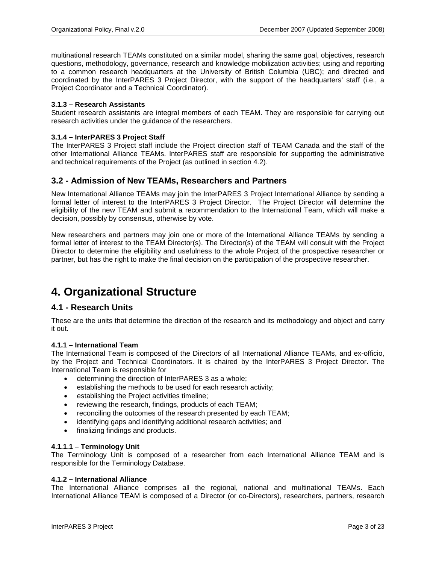multinational research TEAMs constituted on a similar model, sharing the same goal, objectives, research questions, methodology, governance, research and knowledge mobilization activities; using and reporting to a common research headquarters at the University of British Columbia (UBC); and directed and coordinated by the InterPARES 3 Project Director, with the support of the headquarters' staff (i.e., a Project Coordinator and a Technical Coordinator).

#### **3.1.3 – Research Assistants**

Student research assistants are integral members of each TEAM. They are responsible for carrying out research activities under the guidance of the researchers.

#### **3.1.4 – InterPARES 3 Project Staff**

The InterPARES 3 Project staff include the Project direction staff of TEAM Canada and the staff of the other International Alliance TEAMs. InterPARES staff are responsible for supporting the administrative and technical requirements of the Project (as outlined in section 4.2).

#### <span id="page-4-0"></span>**3.2 - Admission of New TEAMs, Researchers and Partners**

New International Alliance TEAMs may join the InterPARES 3 Project International Alliance by sending a formal letter of interest to the InterPARES 3 Project Director. The Project Director will determine the eligibility of the new TEAM and submit a recommendation to the International Team, which will make a decision, possibly by consensus, otherwise by vote.

New researchers and partners may join one or more of the International Alliance TEAMs by sending a formal letter of interest to the TEAM Director(s). The Director(s) of the TEAM will consult with the Project Director to determine the eligibility and usefulness to the whole Project of the prospective researcher or partner, but has the right to make the final decision on the participation of the prospective researcher.

## <span id="page-4-1"></span>**4. Organizational Structure**

### <span id="page-4-2"></span>**4.1 - Research Units**

These are the units that determine the direction of the research and its methodology and object and carry it out.

#### **4.1.1 – International Team**

The International Team is composed of the Directors of all International Alliance TEAMs, and ex-officio, by the Project and Technical Coordinators. It is chaired by the InterPARES 3 Project Director. The International Team is responsible for

- determining the direction of InterPARES 3 as a whole;
- establishing the methods to be used for each research activity;
- establishing the Project activities timeline;
- reviewing the research, findings, products of each TEAM;
- reconciling the outcomes of the research presented by each TEAM;
- identifying gaps and identifying additional research activities; and
- finalizing findings and products.

#### **4.1.1.1 – Terminology Unit**

The Terminology Unit is composed of a researcher from each International Alliance TEAM and is responsible for the Terminology Database.

#### **4.1.2 – International Alliance**

The International Alliance comprises all the regional, national and multinational TEAMs. Each International Alliance TEAM is composed of a Director (or co-Directors), researchers, partners, research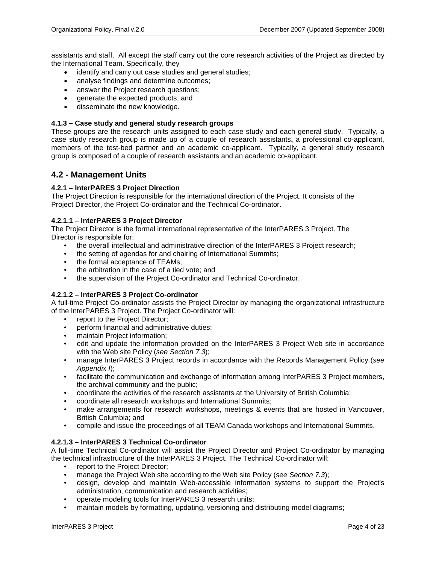assistants and staff. All except the staff carry out the core research activities of the Project as directed by the International Team. Specifically, they

- identify and carry out case studies and general studies;
- analyse findings and determine outcomes:
- answer the Project research questions;
- generate the expected products; and
- disseminate the new knowledge.

#### **4.1.3 – Case study and general study research groups**

These groups are the research units assigned to each case study and each general study. Typically, a case study research group is made up of a couple of research assistants**,** a professional co-applicant, members of the test-bed partner and an academic co-applicant. Typically, a general study research group is composed of a couple of research assistants and an academic co-applicant.

### <span id="page-5-0"></span>**4.2 - Management Units**

#### **4.2.1 – InterPARES 3 Project Direction**

The Project Direction is responsible for the international direction of the Project. It consists of the Project Director, the Project Co-ordinator and the Technical Co-ordinator.

#### **4.2.1.1 – InterPARES 3 Project Director**

The Project Director is the formal international representative of the InterPARES 3 Project. The Director is responsible for:

- the overall intellectual and administrative direction of the InterPARES 3 Project research;
- the setting of agendas for and chairing of International Summits;
- the formal acceptance of TEAMs;
- the arbitration in the case of a tied vote; and
- the supervision of the Project Co-ordinator and Technical Co-ordinator.

#### **4.2.1.2 – InterPARES 3 Project Co-ordinator**

A full-time Project Co-ordinator assists the Project Director by managing the organizational infrastructure of the InterPARES 3 Project. The Project Co-ordinator will:

- report to the Project Director;
- perform financial and administrative duties;
- maintain Project information;
- edit and update the information provided on the InterPARES 3 Project Web site in accordance with the Web site Policy (*see Section 7.3*);
- manage InterPARES 3 Project records in accordance with the Records Management Policy (*see Appendix I*);
- facilitate the communication and exchange of information among InterPARES 3 Project members, the archival community and the public;
- coordinate the activities of the research assistants at the University of British Columbia;
- coordinate all research workshops and International Summits;
- make arrangements for research workshops, meetings & events that are hosted in Vancouver, British Columbia; and
- compile and issue the proceedings of all TEAM Canada workshops and International Summits.

#### **4.2.1.3 – InterPARES 3 Technical Co-ordinator**

A full-time Technical Co-ordinator will assist the Project Director and Project Co-ordinator by managing the technical infrastructure of the InterPARES 3 Project. The Technical Co-ordinator will:

- report to the Project Director;
- manage the Project Web site according to the Web site Policy (*see Section 7.3*);
- design, develop and maintain Web-accessible information systems to support the Project's administration, communication and research activities;
- operate modeling tools for InterPARES 3 research units;
- maintain models by formatting, updating, versioning and distributing model diagrams;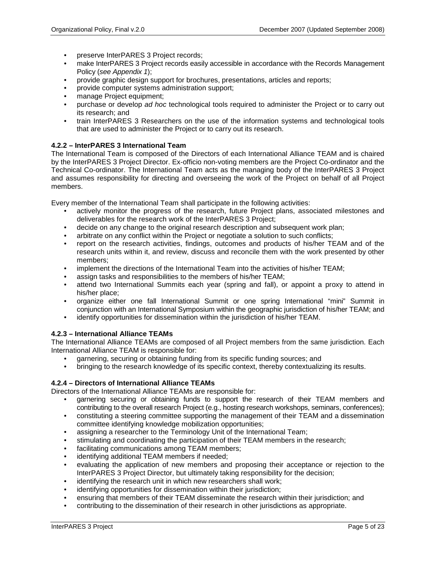- preserve InterPARES 3 Project records;
- make InterPARES 3 Project records easily accessible in accordance with the Records Management Policy (*see Appendix 1*);
- provide graphic design support for brochures, presentations, articles and reports;
- provide computer systems administration support;
- manage Project equipment;
- purchase or develop *ad hoc* technological tools required to administer the Project or to carry out its research; and
- train InterPARES 3 Researchers on the use of the information systems and technological tools that are used to administer the Project or to carry out its research.

#### **4.2.2 – InterPARES 3 International Team**

The International Team is composed of the Directors of each International Alliance TEAM and is chaired by the InterPARES 3 Project Director. Ex-officio non-voting members are the Project Co-ordinator and the Technical Co-ordinator. The International Team acts as the managing body of the InterPARES 3 Project and assumes responsibility for directing and overseeing the work of the Project on behalf of all Project members.

Every member of the International Team shall participate in the following activities:

- actively monitor the progress of the research, future Project plans, associated milestones and deliverables for the research work of the InterPARES 3 Project;
- decide on any change to the original research description and subsequent work plan;
- arbitrate on any conflict within the Project or negotiate a solution to such conflicts;
- report on the research activities, findings, outcomes and products of his/her TEAM and of the research units within it, and review, discuss and reconcile them with the work presented by other members;
- implement the directions of the International Team into the activities of his/her TEAM;
- assign tasks and responsibilities to the members of his/her TEAM;
- attend two International Summits each year (spring and fall), or appoint a proxy to attend in his/her place;
- organize either one fall International Summit or one spring International "mini" Summit in conjunction with an International Symposium within the geographic jurisdiction of his/her TEAM; and
- identify opportunities for dissemination within the jurisdiction of his/her TEAM.

#### **4.2.3 – International Alliance TEAMs**

The International Alliance TEAMs are composed of all Project members from the same jurisdiction. Each International Alliance TEAM is responsible for:

- garnering, securing or obtaining funding from its specific funding sources; and
- bringing to the research knowledge of its specific context, thereby contextualizing its results.

#### **4.2.4 – Directors of International Alliance TEAMs**

Directors of the International Alliance TEAMs are responsible for:

- garnering securing or obtaining funds to support the research of their TEAM members and contributing to the overall research Project (e.g., hosting research workshops, seminars, conferences);
- constituting a steering committee supporting the management of their TEAM and a dissemination committee identifying knowledge mobilization opportunities;
- assigning a researcher to the Terminology Unit of the International Team;
- stimulating and coordinating the participation of their TEAM members in the research;
- facilitating communications among TEAM members;
- identifying additional TEAM members if needed;
- evaluating the application of new members and proposing their acceptance or rejection to the InterPARES 3 Project Director, but ultimately taking responsibility for the decision;
- identifying the research unit in which new researchers shall work;
- identifying opportunities for dissemination within their jurisdiction;
- ensuring that members of their TEAM disseminate the research within their jurisdiction; and
- contributing to the dissemination of their research in other jurisdictions as appropriate.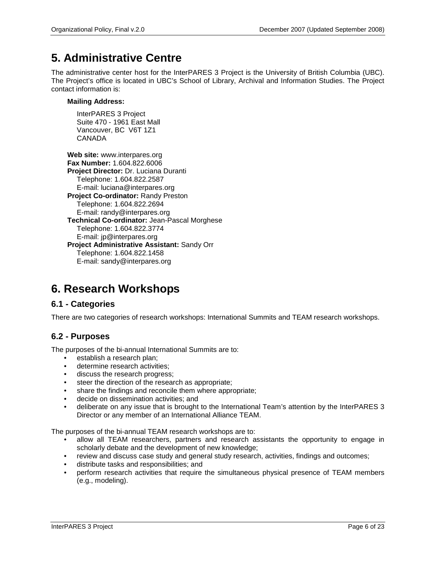## <span id="page-7-0"></span>**5. Administrative Centre**

The administrative center host for the InterPARES 3 Project is the University of British Columbia (UBC). The Project's office is located in UBC's School of Library, Archival and Information Studies. The Project contact information is:

#### **Mailing Address:**

InterPARES 3 Project Suite 470 - 1961 East Mall Vancouver, BC V6T 1Z1 CANADA

**Web site:** www.interpares.org **Fax Number:** 1.604.822.6006 **Project Director:** Dr. Luciana Duranti Telephone: 1.604.822.2587 E-mail: luciana@interpares.org **Project Co-ordinator:** Randy Preston Telephone: 1.604.822.2694 E-mail: randy@interpares.org **Technical Co-ordinator:** Jean-Pascal Morghese Telephone: 1.604.822.3774 E-mail: jp@interpares.org **Project Administrative Assistant:** Sandy Orr Telephone: 1.604.822.1458 E-mail: sandy@interpares.org

## <span id="page-7-1"></span>**6. Research Workshops**

## <span id="page-7-2"></span>**6.1 - Categories**

There are two categories of research workshops: International Summits and TEAM research workshops.

## <span id="page-7-3"></span>**6.2 - Purposes**

The purposes of the bi-annual International Summits are to:

- establish a research plan;
- determine research activities;
- discuss the research progress;
- steer the direction of the research as appropriate;
- share the findings and reconcile them where appropriate;
- decide on dissemination activities; and
- deliberate on any issue that is brought to the International Team's attention by the InterPARES 3 Director or any member of an International Alliance TEAM.

The purposes of the bi-annual TEAM research workshops are to:

- allow all TEAM researchers, partners and research assistants the opportunity to engage in scholarly debate and the development of new knowledge;
- review and discuss case study and general study research, activities, findings and outcomes;
- distribute tasks and responsibilities; and
- perform research activities that require the simultaneous physical presence of TEAM members (e.g., modeling).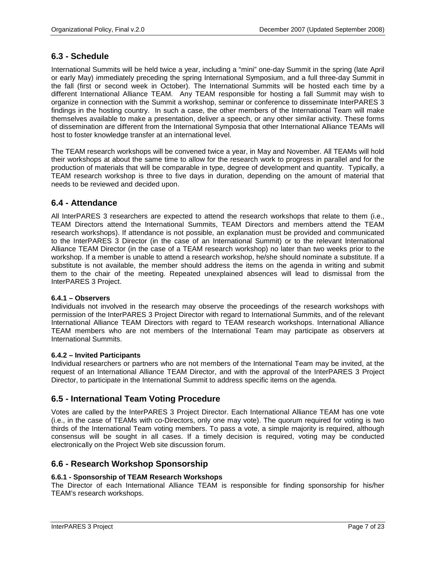### <span id="page-8-0"></span>**6.3 - Schedule**

International Summits will be held twice a year, including a "mini" one-day Summit in the spring (late April or early May) immediately preceding the spring International Symposium, and a full three-day Summit in the fall (first or second week in October). The International Summits will be hosted each time by a different International Alliance TEAM. Any TEAM responsible for hosting a fall Summit may wish to organize in connection with the Summit a workshop, seminar or conference to disseminate InterPARES 3 findings in the hosting country. In such a case, the other members of the International Team will make themselves available to make a presentation, deliver a speech, or any other similar activity. These forms of dissemination are different from the International Symposia that other International Alliance TEAMs will host to foster knowledge transfer at an international level.

The TEAM research workshops will be convened twice a year, in May and November. All TEAMs will hold their workshops at about the same time to allow for the research work to progress in parallel and for the production of materials that will be comparable in type, degree of development and quantity. Typically, a TEAM research workshop is three to five days in duration, depending on the amount of material that needs to be reviewed and decided upon.

### <span id="page-8-1"></span>**6.4 - Attendance**

All InterPARES 3 researchers are expected to attend the research workshops that relate to them (i.e., TEAM Directors attend the International Summits, TEAM Directors and members attend the TEAM research workshops). If attendance is not possible, an explanation must be provided and communicated to the InterPARES 3 Director (in the case of an International Summit) or to the relevant International Alliance TEAM Director (in the case of a TEAM research workshop) no later than two weeks prior to the workshop. If a member is unable to attend a research workshop, he/she should nominate a substitute. If a substitute is not available, the member should address the items on the agenda in writing and submit them to the chair of the meeting. Repeated unexplained absences will lead to dismissal from the InterPARES 3 Project.

#### **6.4.1 – Observers**

Individuals not involved in the research may observe the proceedings of the research workshops with permission of the InterPARES 3 Project Director with regard to International Summits, and of the relevant International Alliance TEAM Directors with regard to TEAM research workshops. International Alliance TEAM members who are not members of the International Team may participate as observers at International Summits.

#### **6.4.2 – Invited Participants**

Individual researchers or partners who are not members of the International Team may be invited, at the request of an International Alliance TEAM Director, and with the approval of the InterPARES 3 Project Director, to participate in the International Summit to address specific items on the agenda.

### <span id="page-8-2"></span>**6.5 - International Team Voting Procedure**

Votes are called by the InterPARES 3 Project Director. Each International Alliance TEAM has one vote (i.e., in the case of TEAMs with co-Directors, only one may vote). The quorum required for voting is two thirds of the International Team voting members. To pass a vote, a simple majority is required, although consensus will be sought in all cases. If a timely decision is required, voting may be conducted electronically on the Project Web site discussion forum.

### <span id="page-8-3"></span>**6.6 - Research Workshop Sponsorship**

#### **6.6.1 - Sponsorship of TEAM Research Workshops**

The Director of each International Alliance TEAM is responsible for finding sponsorship for his/her TEAM's research workshops.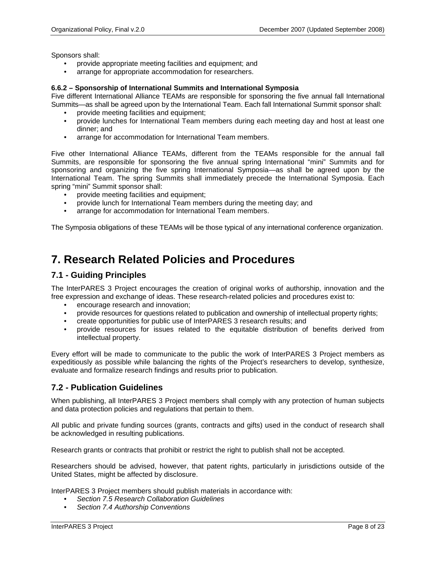Sponsors shall:

- provide appropriate meeting facilities and equipment; and
- arrange for appropriate accommodation for researchers.

#### **6.6.2 – Sponsorship of International Summits and International Symposia**

Five different International Alliance TEAMs are responsible for sponsoring the five annual fall International Summits—as shall be agreed upon by the International Team. Each fall International Summit sponsor shall:

- provide meeting facilities and equipment;
- provide lunches for International Team members during each meeting day and host at least one dinner; and
- arrange for accommodation for International Team members.

Five other International Alliance TEAMs, different from the TEAMs responsible for the annual fall Summits, are responsible for sponsoring the five annual spring International "mini" Summits and for sponsoring and organizing the five spring International Symposia—as shall be agreed upon by the International Team. The spring Summits shall immediately precede the International Symposia. Each spring "mini" Summit sponsor shall:

- provide meeting facilities and equipment;
- provide lunch for International Team members during the meeting day; and
- arrange for accommodation for International Team members.

The Symposia obligations of these TEAMs will be those typical of any international conference organization.

## <span id="page-9-0"></span>**7. Research Related Policies and Procedures**

### <span id="page-9-1"></span>**7.1 - Guiding Principles**

The InterPARES 3 Project encourages the creation of original works of authorship, innovation and the free expression and exchange of ideas. These research-related policies and procedures exist to:

- encourage research and innovation;
- provide resources for questions related to publication and ownership of intellectual property rights;
- create opportunities for public use of InterPARES 3 research results; and
- provide resources for issues related to the equitable distribution of benefits derived from intellectual property.

Every effort will be made to communicate to the public the work of InterPARES 3 Project members as expeditiously as possible while balancing the rights of the Project's researchers to develop, synthesize, evaluate and formalize research findings and results prior to publication.

### <span id="page-9-2"></span>**7.2 - Publication Guidelines**

When publishing, all InterPARES 3 Project members shall comply with any protection of human subjects and data protection policies and regulations that pertain to them.

All public and private funding sources (grants, contracts and gifts) used in the conduct of research shall be acknowledged in resulting publications.

Research grants or contracts that prohibit or restrict the right to publish shall not be accepted.

Researchers should be advised, however, that patent rights, particularly in jurisdictions outside of the United States, might be affected by disclosure.

InterPARES 3 Project members should publish materials in accordance with:

- *Section 7.5 Research Collaboration Guidelines*
- *Section 7.4 Authorship Conventions*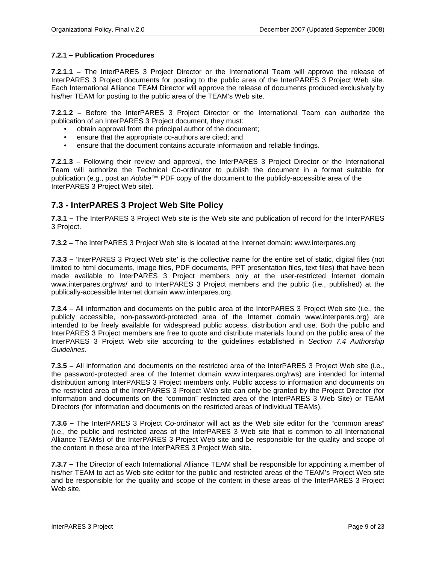#### **7.2.1 – Publication Procedures**

**7.2.1.1 –** The InterPARES 3 Project Director or the International Team will approve the release of InterPARES 3 Project documents for posting to the public area of the InterPARES 3 Project Web site. Each International Alliance TEAM Director will approve the release of documents produced exclusively by his/her TEAM for posting to the public area of the TEAM's Web site.

**7.2.1.2 –** Before the InterPARES 3 Project Director or the International Team can authorize the publication of an InterPARES 3 Project document, they must:

- obtain approval from the principal author of the document;
- ensure that the appropriate co-authors are cited; and
- ensure that the document contains accurate information and reliable findings.

**7.2.1.3 –** Following their review and approval, the InterPARES 3 Project Director or the International Team will authorize the Technical Co-ordinator to publish the document in a format suitable for publication (e.g., post an *Adobe™* PDF copy of the document to the publicly-accessible area of the InterPARES 3 Project Web site).

### <span id="page-10-0"></span>**7.3 - InterPARES 3 Project Web Site Policy**

**7.3.1 –** The InterPARES 3 Project Web site is the Web site and publication of record for the InterPARES 3 Project.

**7.3.2 –** The InterPARES 3 Project Web site is located at the Internet domain: www.interpares.org

**7.3.3 –** 'InterPARES 3 Project Web site' is the collective name for the entire set of static, digital files (not limited to html documents, image files, PDF documents, PPT presentation files, text files) that have been made available to InterPARES 3 Project members only at the user-restricted Internet domain www.interpares.org/rws/ and to InterPARES 3 Project members and the public (i.e., published) at the publically-accessible Internet domain www.interpares.org.

**7.3.4 –** All information and documents on the public area of the InterPARES 3 Project Web site (i.e., the publicly accessible, non-password-protected area of the Internet domain www.interpares.org) are intended to be freely available for widespread public access, distribution and use. Both the public and InterPARES 3 Project members are free to quote and distribute materials found on the public area of the InterPARES 3 Project Web site according to the guidelines established in *Section 7.4 Authorship Guidelines*.

**7.3.5 –** All information and documents on the restricted area of the InterPARES 3 Project Web site (i.e., the password-protected area of the Internet domain www.interpares.org/rws) are intended for internal distribution among InterPARES 3 Project members only. Public access to information and documents on the restricted area of the InterPARES 3 Project Web site can only be granted by the Project Director (for information and documents on the "common" restricted area of the InterPARES 3 Web Site) or TEAM Directors (for information and documents on the restricted areas of individual TEAMs).

**7.3.6 –** The InterPARES 3 Project Co-ordinator will act as the Web site editor for the "common areas" (i.e., the public and restricted areas of the InterPARES 3 Web site that is common to all International Alliance TEAMs) of the InterPARES 3 Project Web site and be responsible for the quality and scope of the content in these area of the InterPARES 3 Project Web site.

**7.3.7 –** The Director of each International Alliance TEAM shall be responsible for appointing a member of his/her TEAM to act as Web site editor for the public and restricted areas of the TEAM's Project Web site and be responsible for the quality and scope of the content in these areas of the InterPARES 3 Project Web site.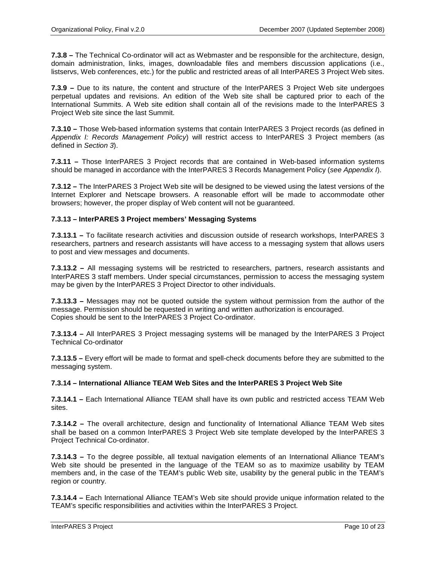**7.3.8 –** The Technical Co-ordinator will act as Webmaster and be responsible for the architecture, design, domain administration, links, images, downloadable files and members discussion applications (i.e., listservs, Web conferences, etc.) for the public and restricted areas of all InterPARES 3 Project Web sites.

**7.3.9 –** Due to its nature, the content and structure of the InterPARES 3 Project Web site undergoes perpetual updates and revisions. An edition of the Web site shall be captured prior to each of the International Summits. A Web site edition shall contain all of the revisions made to the InterPARES 3 Project Web site since the last Summit.

**7.3.10 –** Those Web-based information systems that contain InterPARES 3 Project records (as defined in *Appendix I: Records Management Policy*) will restrict access to InterPARES 3 Project members (as defined in *Section 3*).

**7.3.11 –** Those InterPARES 3 Project records that are contained in Web-based information systems should be managed in accordance with the InterPARES 3 Records Management Policy (*see Appendix I*).

**7.3.12 –** The InterPARES 3 Project Web site will be designed to be viewed using the latest versions of the Internet Explorer and Netscape browsers. A reasonable effort will be made to accommodate other browsers; however, the proper display of Web content will not be guaranteed.

#### **7.3.13 – InterPARES 3 Project members' Messaging Systems**

**7.3.13.1 –** To facilitate research activities and discussion outside of research workshops, InterPARES 3 researchers, partners and research assistants will have access to a messaging system that allows users to post and view messages and documents.

**7.3.13.2 –** All messaging systems will be restricted to researchers, partners, research assistants and InterPARES 3 staff members. Under special circumstances, permission to access the messaging system may be given by the InterPARES 3 Project Director to other individuals.

**7.3.13.3 –** Messages may not be quoted outside the system without permission from the author of the message. Permission should be requested in writing and written authorization is encouraged. Copies should be sent to the InterPARES 3 Project Co-ordinator.

**7.3.13.4 –** All InterPARES 3 Project messaging systems will be managed by the InterPARES 3 Project Technical Co-ordinator

**7.3.13.5 –** Every effort will be made to format and spell-check documents before they are submitted to the messaging system.

#### **7.3.14 – International Alliance TEAM Web Sites and the InterPARES 3 Project Web Site**

**7.3.14.1 –** Each International Alliance TEAM shall have its own public and restricted access TEAM Web sites.

**7.3.14.2 –** The overall architecture, design and functionality of International Alliance TEAM Web sites shall be based on a common InterPARES 3 Project Web site template developed by the InterPARES 3 Project Technical Co-ordinator.

**7.3.14.3 –** To the degree possible, all textual navigation elements of an International Alliance TEAM's Web site should be presented in the language of the TEAM so as to maximize usability by TEAM members and, in the case of the TEAM's public Web site, usability by the general public in the TEAM's region or country.

**7.3.14.4 –** Each International Alliance TEAM's Web site should provide unique information related to the TEAM's specific responsibilities and activities within the InterPARES 3 Project.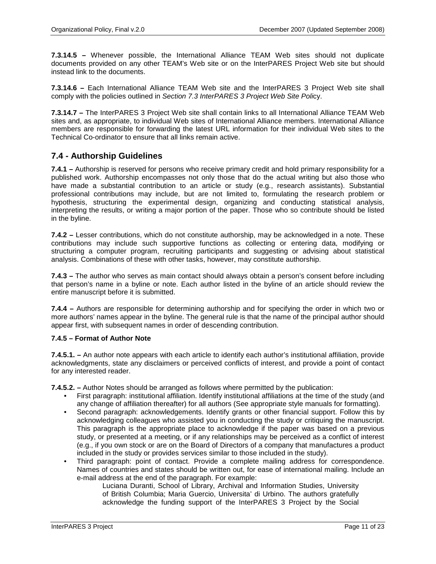**7.3.14.5 –** Whenever possible, the International Alliance TEAM Web sites should not duplicate documents provided on any other TEAM's Web site or on the InterPARES Project Web site but should instead link to the documents.

**7.3.14.6 –** Each International Alliance TEAM Web site and the InterPARES 3 Project Web site shall comply with the policies outlined in *Section 7.3 InterPARES 3 Project Web Site Poli*cy.

**7.3.14.7 –** The InterPARES 3 Project Web site shall contain links to all International Alliance TEAM Web sites and, as appropriate, to individual Web sites of International Alliance members. International Alliance members are responsible for forwarding the latest URL information for their individual Web sites to the Technical Co-ordinator to ensure that all links remain active.

## <span id="page-12-0"></span>**7.4 - Authorship Guidelines**

**7.4.1 –** Authorship is reserved for persons who receive primary credit and hold primary responsibility for a published work. Authorship encompasses not only those that do the actual writing but also those who have made a substantial contribution to an article or study (e.g., research assistants). Substantial professional contributions may include, but are not limited to, formulating the research problem or hypothesis, structuring the experimental design, organizing and conducting statistical analysis, interpreting the results, or writing a major portion of the paper. Those who so contribute should be listed in the byline.

**7.4.2 –** Lesser contributions, which do not constitute authorship, may be acknowledged in a note. These contributions may include such supportive functions as collecting or entering data, modifying or structuring a computer program, recruiting participants and suggesting or advising about statistical analysis. Combinations of these with other tasks, however, may constitute authorship.

**7.4.3 –** The author who serves as main contact should always obtain a person's consent before including that person's name in a byline or note. Each author listed in the byline of an article should review the entire manuscript before it is submitted.

**7.4.4 –** Authors are responsible for determining authorship and for specifying the order in which two or more authors' names appear in the byline. The general rule is that the name of the principal author should appear first, with subsequent names in order of descending contribution.

#### **7.4.5 – Format of Author Note**

**7.4.5.1. –** An author note appears with each article to identify each author's institutional affiliation, provide acknowledgments, state any disclaimers or perceived conflicts of interest, and provide a point of contact for any interested reader.

**7.4.5.2. –** Author Notes should be arranged as follows where permitted by the publication:

- First paragraph: institutional affiliation. Identify institutional affiliations at the time of the study (and any change of affiliation thereafter) for all authors (See appropriate style manuals for formatting).
- Second paragraph: acknowledgements. Identify grants or other financial support. Follow this by acknowledging colleagues who assisted you in conducting the study or critiquing the manuscript. This paragraph is the appropriate place to acknowledge if the paper was based on a previous study, or presented at a meeting, or if any relationships may be perceived as a conflict of interest (e.g., if you own stock or are on the Board of Directors of a company that manufactures a product included in the study or provides services similar to those included in the study).
- Third paragraph: point of contact. Provide a complete mailing address for correspondence. Names of countries and states should be written out, for ease of international mailing. Include an e-mail address at the end of the paragraph. For example:

Luciana Duranti, School of Library, Archival and Information Studies, University of British Columbia; Maria Guercio, Universita' di Urbino. The authors gratefully acknowledge the funding support of the InterPARES 3 Project by the Social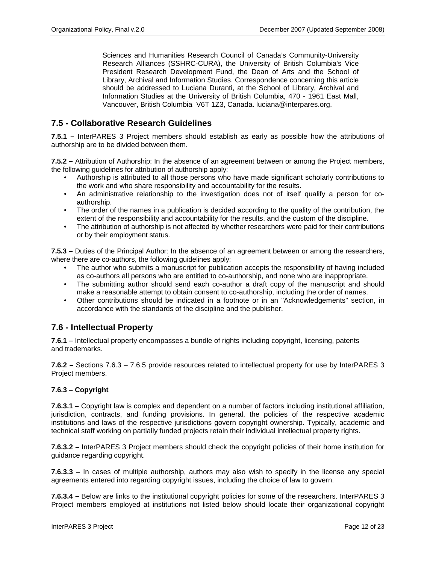Sciences and Humanities Research Council of Canada's Community-University Research Alliances (SSHRC-CURA), the University of British Columbia's Vice President Research Development Fund, the Dean of Arts and the School of Library, Archival and Information Studies. Correspondence concerning this article should be addressed to Luciana Duranti, at the School of Library, Archival and Information Studies at the University of British Columbia, 470 - 1961 East Mall, Vancouver, British Columbia V6T 1Z3, Canada. luciana@interpares.org.

## <span id="page-13-0"></span>**7.5 - Collaborative Research Guidelines**

**7.5.1 –** InterPARES 3 Project members should establish as early as possible how the attributions of authorship are to be divided between them.

**7.5.2 –** Attribution of Authorship: In the absence of an agreement between or among the Project members, the following guidelines for attribution of authorship apply:

- Authorship is attributed to all those persons who have made significant scholarly contributions to the work and who share responsibility and accountability for the results.
- An administrative relationship to the investigation does not of itself qualify a person for coauthorship.
- The order of the names in a publication is decided according to the quality of the contribution, the extent of the responsibility and accountability for the results, and the custom of the discipline.
- The attribution of authorship is not affected by whether researchers were paid for their contributions or by their employment status.

**7.5.3 –** Duties of the Principal Author: In the absence of an agreement between or among the researchers, where there are co-authors, the following guidelines apply:

- The author who submits a manuscript for publication accepts the responsibility of having included as co-authors all persons who are entitled to co-authorship, and none who are inappropriate.
- The submitting author should send each co-author a draft copy of the manuscript and should make a reasonable attempt to obtain consent to co-authorship, including the order of names.
- Other contributions should be indicated in a footnote or in an "Acknowledgements" section, in accordance with the standards of the discipline and the publisher.

## <span id="page-13-1"></span>**7.6 - Intellectual Property**

**7.6.1 –** Intellectual property encompasses a bundle of rights including copyright, licensing, patents and trademarks.

**7.6.2 –** Sections 7.6.3 – 7.6.5 provide resources related to intellectual property for use by InterPARES 3 Project members.

#### **7.6.3 – Copyright**

**7.6.3.1 –** Copyright law is complex and dependent on a number of factors including institutional affiliation, jurisdiction, contracts, and funding provisions. In general, the policies of the respective academic institutions and laws of the respective jurisdictions govern copyright ownership. Typically, academic and technical staff working on partially funded projects retain their individual intellectual property rights.

**7.6.3.2 –** InterPARES 3 Project members should check the copyright policies of their home institution for guidance regarding copyright.

**7.6.3.3 –** In cases of multiple authorship, authors may also wish to specify in the license any special agreements entered into regarding copyright issues, including the choice of law to govern.

**7.6.3.4 –** Below are links to the institutional copyright policies for some of the researchers. InterPARES 3 Project members employed at institutions not listed below should locate their organizational copyright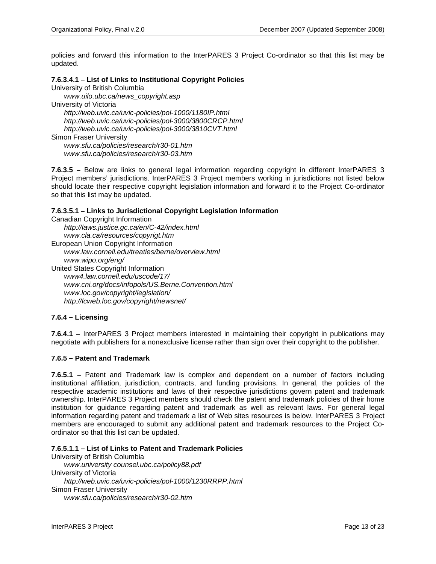policies and forward this information to the InterPARES 3 Project Co-ordinator so that this list may be updated.

#### **7.6.3.4.1 – List of Links to Institutional Copyright Policies**

University of British Columbia

*www.uilo.ubc.ca/news\_copyright.asp*

University of Victoria

*http://web.uvic.ca/uvic-policies/pol-1000/1180IP.html http://web.uvic.ca/uvic-policies/pol-3000/3800CRCP.html http://web.uvic.ca/uvic-policies/pol-3000/3810CVT.html* Simon Fraser University

*www.sfu.ca/policies/research/r30-01.htm www.sfu.ca/policies/research/r30-03.htm*

**7.6.3.5 –** Below are links to general legal information regarding copyright in different InterPARES 3 Project members' jurisdictions. InterPARES 3 Project members working in jurisdictions not listed below should locate their respective copyright legislation information and forward it to the Project Co-ordinator so that this list may be updated.

#### **7.6.3.5.1 – Links to Jurisdictional Copyright Legislation Information**

```
Canadian Copyright Information
   http://laws.justice.gc.ca/en/C-42/index.html
    www.cla.ca/resources/copyrigt.htm
European Union Copyright Information
    www.law.cornell.edu/treaties/berne/overview.html
    www.wipo.org/eng/
United States Copyright Information
    www4.law.cornell.edu/uscode/17/
    www.cni.org/docs/infopols/US.Berne.Convention.html
    www.loc.gov/copyright/legislation/
   http://lcweb.loc.gov/copyright/newsnet/
```
#### **7.6.4 – Licensing**

**7.6.4.1 –** InterPARES 3 Project members interested in maintaining their copyright in publications may negotiate with publishers for a nonexclusive license rather than sign over their copyright to the publisher.

#### **7.6.5 – Patent and Trademark**

**7.6.5.1 –** Patent and Trademark law is complex and dependent on a number of factors including institutional affiliation, jurisdiction, contracts, and funding provisions. In general, the policies of the respective academic institutions and laws of their respective jurisdictions govern patent and trademark ownership. InterPARES 3 Project members should check the patent and trademark policies of their home institution for guidance regarding patent and trademark as well as relevant laws. For general legal information regarding patent and trademark a list of Web sites resources is below. InterPARES 3 Project members are encouraged to submit any additional patent and trademark resources to the Project Coordinator so that this list can be updated.

#### **7.6.5.1.1 – List of Links to Patent and Trademark Policies**

University of British Columbia *www.university counsel.ubc.ca/policy88.pdf* University of Victoria *http://web.uvic.ca/uvic-policies/pol-1000/1230RRPP.html* Simon Fraser University *www.sfu.ca/policies/research/r30-02.htm*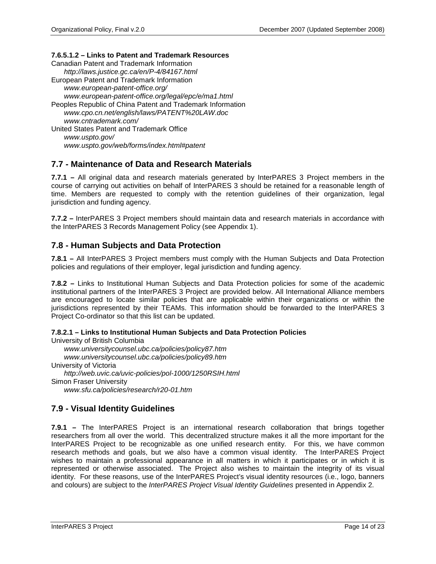#### **7.6.5.1.2 – Links to Patent and Trademark Resources**

Canadian Patent and Trademark Information *http://laws.justice.gc.ca/en/P-4/84167.html* European Patent and Trademark Information *www.european-patent-office.org/ www.european-patent-office.org/legal/epc/e/ma1.html* Peoples Republic of China Patent and Trademark Information *www.cpo.cn.net/english/laws/PATENT%20LAW.doc www.cntrademark.com/* United States Patent and Trademark Office *www.uspto.gov/ www.uspto.gov/web/forms/index.html#patent*

## <span id="page-15-0"></span>**7.7 - Maintenance of Data and Research Materials**

**7.7.1 –** All original data and research materials generated by InterPARES 3 Project members in the course of carrying out activities on behalf of InterPARES 3 should be retained for a reasonable length of time. Members are requested to comply with the retention guidelines of their organization, legal jurisdiction and funding agency.

**7.7.2 –** InterPARES 3 Project members should maintain data and research materials in accordance with the InterPARES 3 Records Management Policy (see Appendix 1).

### <span id="page-15-1"></span>**7.8 - Human Subjects and Data Protection**

**7.8.1 –** All InterPARES 3 Project members must comply with the Human Subjects and Data Protection policies and regulations of their employer, legal jurisdiction and funding agency.

**7.8.2 –** Links to Institutional Human Subjects and Data Protection policies for some of the academic institutional partners of the InterPARES 3 Project are provided below. All International Alliance members are encouraged to locate similar policies that are applicable within their organizations or within the jurisdictions represented by their TEAMs. This information should be forwarded to the InterPARES 3 Project Co-ordinator so that this list can be updated.

**7.8.2.1 – Links to Institutional Human Subjects and Data Protection Policies**

University of British Columbia *www.universitycounsel.ubc.ca/policies/policy87.htm www.universitycounsel.ubc.ca/policies/policy89.htm* University of Victoria *http://web.uvic.ca/uvic-policies/pol-1000/1250RSIH.html* Simon Fraser University *www.sfu.ca/policies/research/r20-01.htm*

## <span id="page-15-2"></span>**7.9 - Visual Identity Guidelines**

**7.9.1 –** The InterPARES Project is an international research collaboration that brings together researchers from all over the world. This decentralized structure makes it all the more important for the InterPARES Project to be recognizable as one unified research entity. For this, we have common research methods and goals, but we also have a common visual identity. The InterPARES Project wishes to maintain a professional appearance in all matters in which it participates or in which it is represented or otherwise associated. The Project also wishes to maintain the integrity of its visual identity. For these reasons, use of the InterPARES Project's visual identity resources (i.e., logo, banners and colours) are subject to the *InterPARES Project Visual Identity Guidelines* presented in Appendix 2.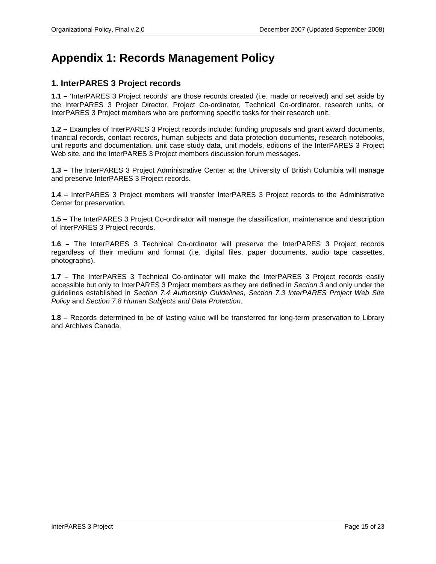## <span id="page-16-0"></span>**Appendix 1: Records Management Policy**

## **1. InterPARES 3 Project records**

**1.1 –** 'InterPARES 3 Project records' are those records created (i.e. made or received) and set aside by the InterPARES 3 Project Director, Project Co-ordinator, Technical Co-ordinator, research units, or InterPARES 3 Project members who are performing specific tasks for their research unit.

**1.2 –** Examples of InterPARES 3 Project records include: funding proposals and grant award documents, financial records, contact records, human subjects and data protection documents, research notebooks, unit reports and documentation, unit case study data, unit models, editions of the InterPARES 3 Project Web site, and the InterPARES 3 Project members discussion forum messages.

**1.3 –** The InterPARES 3 Project Administrative Center at the University of British Columbia will manage and preserve InterPARES 3 Project records.

**1.4 –** InterPARES 3 Project members will transfer InterPARES 3 Project records to the Administrative Center for preservation.

**1.5 –** The InterPARES 3 Project Co-ordinator will manage the classification, maintenance and description of InterPARES 3 Project records.

**1.6 –** The InterPARES 3 Technical Co-ordinator will preserve the InterPARES 3 Project records regardless of their medium and format (i.e. digital files, paper documents, audio tape cassettes, photographs).

**1.7 –** The InterPARES 3 Technical Co-ordinator will make the InterPARES 3 Project records easily accessible but only to InterPARES 3 Project members as they are defined in *Section 3* and only under the guidelines established in *Section 7.4 Authorship Guidelines*, *Section 7.3 InterPARES Project Web Site Policy* and *Section 7.8 Human Subjects and Data Protection*.

**1.8 –** Records determined to be of lasting value will be transferred for long-term preservation to Library and Archives Canada.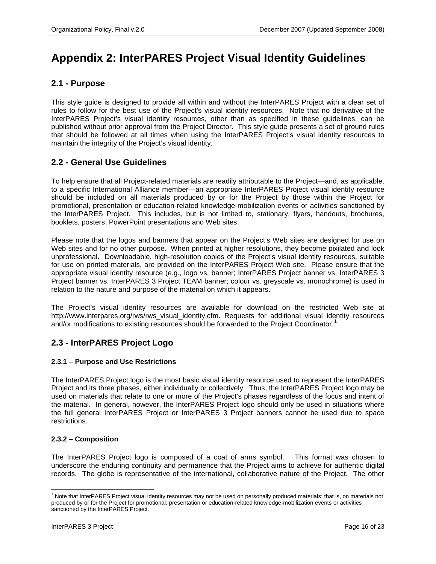## <span id="page-17-0"></span>**Appendix 2: InterPARES Project Visual Identity Guidelines**

## **2.1** *-* **Purpose**

This style guide is designed to provide all within and without the InterPARES Project with a clear set of rules to follow for the best use of the Project's visual identity resources. Note that no derivative of the InterPARES Project's visual identity resources, other than as specified in these guidelines, can be published without prior approval from the Project Director. This style guide presents a set of ground rules that should be followed at all times when using the InterPARES Project's visual identity resources to maintain the integrity of the Project's visual identity.

## **2.2** *-* **General Use Guidelines**

To help ensure that all Project-related materials are readily attributable to the Project—and, as applicable, to a specific International Alliance member—an appropriate InterPARES Project visual identity resource should be included on all materials produced by or for the Project by those within the Project for promotional, presentation or education-related knowledge-mobilization events or activities sanctioned by the InterPARES Project. This includes, but is not limited to, stationary, flyers, handouts, brochures, booklets, posters, PowerPoint presentations and Web sites.

Please note that the logos and banners that appear on the Project's Web sites are designed for use on Web sites and for no other purpose. When printed at higher resolutions, they become pixilated and look unprofessional. Downloadable, high-resolution copies of the Project's visual identity resources, suitable for use on printed materials, are provided on the InterPARES Project Web site. Please ensure that the appropriate visual identity resource (e.g., logo vs. banner; InterPARES Project banner vs. InterPARES 3 Project banner vs. InterPARES 3 Project TEAM banner; colour vs. greyscale vs. monochrome) is used in relation to the nature and purpose of the material on which it appears.

The Project's visual identity resources are available for download on the restricted Web site at http://www.interpares.org/rws/rws\_visual\_identity.cfm. Requests for additional visual identity resources and/or modifications to existing resources should be forwarded to the Project Coordinator.<sup>[1](#page-0-0)</sup>

## **2.3** *-* **InterPARES Project Logo**

#### **2.3.1 – Purpose and Use Restrictions**

The InterPARES Project logo is the most basic visual identity resource used to represent the InterPARES Project and its three phases, either individually or collectively. Thus, the InterPARES Project logo may be used on materials that relate to one or more of the Project's phases regardless of the focus and intent of the material. In general, however, the InterPARES Project logo should only be used in situations where the full general InterPARES Project or InterPARES 3 Project banners cannot be used due to space restrictions.

#### **2.3.2 – Composition**

The InterPARES Project logo is composed of a coat of arms symbol. This format was chosen to underscore the enduring continuity and permanence that the Project aims to achieve for authentic digital records. The globe is representative of the international, collaborative nature of the Project. The other

l <sup>1</sup> Note that InterPARES Project visual identity resources may not be used on personally produced materials; that is, on materials not produced by or for the Project for promotional, presentation or education-related knowledge-mobilization events or activities sanctioned by the InterPARES Project.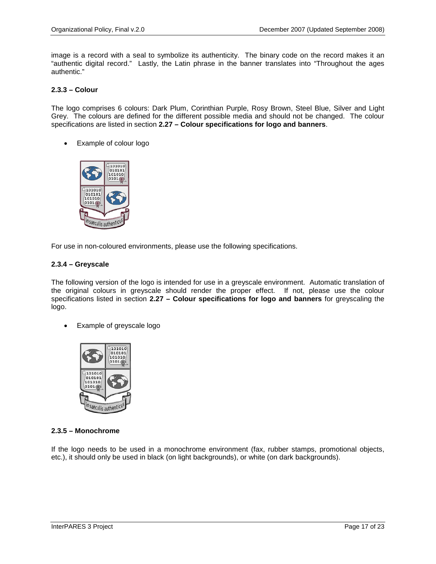image is a record with a seal to symbolize its authenticity. The binary code on the record makes it an "authentic digital record." Lastly, the Latin phrase in the banner translates into "Throughout the ages authentic."

#### **2.3.3 – Colour**

The logo comprises 6 colours: Dark Plum, Corinthian Purple, Rosy Brown, Steel Blue, Silver and Light Grey. The colours are defined for the different possible media and should not be changed. The colour specifications are listed in section **2.27 – Colour specifications for logo and banners**.

• Example of colour logo



For use in non-coloured environments, please use the following specifications.

#### **2.3.4 – Greyscale**

The following version of the logo is intended for use in a greyscale environment. Automatic translation of the original colours in greyscale should render the proper effect. If not, please use the colour specifications listed in section **2.27 – Colour specifications for logo and banners** for greyscaling the logo.

• Example of greyscale logo



#### **2.3.5 – Monochrome**

If the logo needs to be used in a monochrome environment (fax, rubber stamps, promotional objects, etc.), it should only be used in black (on light backgrounds), or white (on dark backgrounds).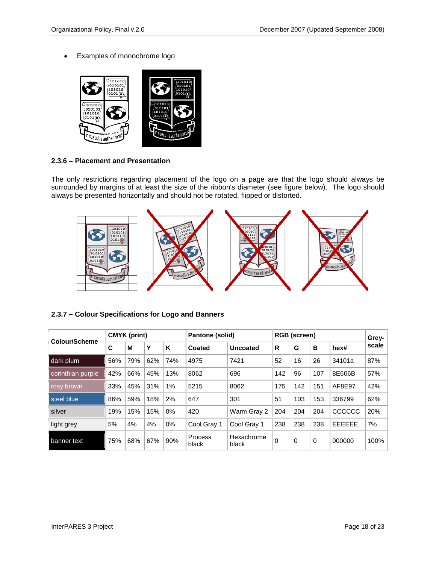• Examples of monochrome logo



### **2.3.6 – Placement and Presentation**

The only restrictions regarding placement of the logo on a page are that the logo should always be surrounded by margins of at least the size of the ribbon's diameter (see figure below). The logo should always be presented horizontally and should not be rotated, flipped or distorted.



#### **2.3.7 – Colour Specifications for Logo and Banners**

| Colour/Scheme      | <b>CMYK (print)</b> |     |     |     | Pantone (solid)         |                     | <b>RGB</b> (screen) |             |          |               | Grey- $ $ |
|--------------------|---------------------|-----|-----|-----|-------------------------|---------------------|---------------------|-------------|----------|---------------|-----------|
|                    | C                   | М   | Υ   | K   | Coated                  | <b>Uncoated</b>     | R                   | G           | B        | hex#          | scale     |
| dark plum          | 56%                 | 79% | 62% | 74% | 4975                    | 7421                | 52                  | 16          | 26       | 34101a        | 87%       |
| corinthian purple, | 42%                 | 66% | 45% | 13% | 8062                    | 696                 | 142                 | 96          | 107      | 8E606B        | 57%       |
| rosy brown         | 33%                 | 45% | 31% | 1%  | 5215                    | 8062                | 175                 | 142         | 151      | AF8E97        | 42%       |
| steel blue         | 86%                 | 59% | 18% | 2%  | 647                     | 301                 | 51                  | 103         | 153      | 336799        | 62%       |
| silver             | 19%                 | 15% | 15% | 0%  | 420                     | Warm Gray 2         | 204                 | 204         | 204      | CCCCCC        | 20%       |
| light grey         | 5%                  | 4%  | 4%  | 0%  | Cool Gray 1             | Cool Gray 1         | 238                 | 238         | 238      | <b>EEEEEE</b> | 7%        |
| banner text        | 75%                 | 68% | 67% | 90% | <b>Process</b><br>black | Hexachrome<br>black | $\mathbf 0$         | $\mathbf 0$ | $\Omega$ | 000000        | 100%      |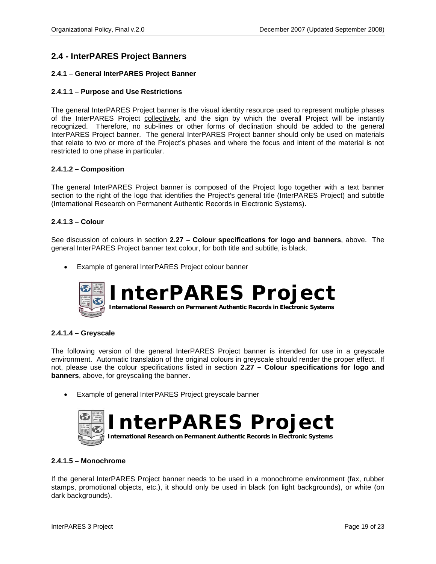## **2.4** *-* **InterPARES Project Banners**

#### **2.4.1 – General InterPARES Project Banner**

#### **2.4.1.1 – Purpose and Use Restrictions**

The general InterPARES Project banner is the visual identity resource used to represent multiple phases of the InterPARES Project collectively, and the sign by which the overall Project will be instantly recognized. Therefore, no sub-lines or other forms of declination should be added to the general InterPARES Project banner. The general InterPARES Project banner should only be used on materials that relate to two or more of the Project's phases and where the focus and intent of the material is not restricted to one phase in particular.

#### **2.4.1.2 – Composition**

The general InterPARES Project banner is composed of the Project logo together with a text banner section to the right of the logo that identifies the Project's general title (InterPARES Project) and subtitle (International Research on Permanent Authentic Records in Electronic Systems).

#### **2.4.1.3 – Colour**

See discussion of colours in section **2.27 – Colour specifications for logo and banners**, above. The general InterPARES Project banner text colour, for both title and subtitle, is black.

• Example of general InterPARES Project colour banner



#### **2.4.1.4 – Greyscale**

The following version of the general InterPARES Project banner is intended for use in a greyscale environment. Automatic translation of the original colours in greyscale should render the proper effect. If not, please use the colour specifications listed in section **2.27 – Colour specifications for logo and banners**, above, for greyscaling the banner.

Example of general InterPARES Project greyscale banner



#### **2.4.1.5 – Monochrome**

If the general InterPARES Project banner needs to be used in a monochrome environment (fax, rubber stamps, promotional objects, etc.), it should only be used in black (on light backgrounds), or white (on dark backgrounds).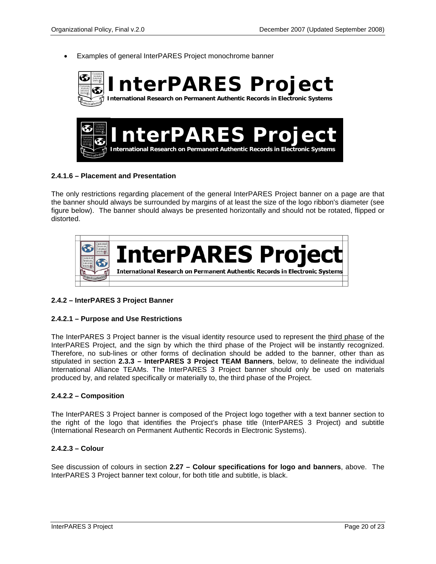Examples of general InterPARES Project monochrome banner



#### **2.4.1.6 – Placement and Presentation**

The only restrictions regarding placement of the general InterPARES Project banner on a page are that the banner should always be surrounded by margins of at least the size of the logo ribbon's diameter (see figure below). The banner should always be presented horizontally and should not be rotated, flipped or distorted.



#### **2.4.2 – InterPARES 3 Project Banner**

#### **2.4.2.1 – Purpose and Use Restrictions**

The InterPARES 3 Project banner is the visual identity resource used to represent the third phase of the InterPARES Project, and the sign by which the third phase of the Project will be instantly recognized. Therefore, no sub-lines or other forms of declination should be added to the banner, other than as stipulated in section **2.3.3 – InterPARES 3 Project TEAM Banners**, below, to delineate the individual International Alliance TEAMs. The InterPARES 3 Project banner should only be used on materials produced by, and related specifically or materially to, the third phase of the Project.

#### **2.4.2.2 – Composition**

The InterPARES 3 Project banner is composed of the Project logo together with a text banner section to the right of the logo that identifies the Project's phase title (InterPARES 3 Project) and subtitle (International Research on Permanent Authentic Records in Electronic Systems).

#### **2.4.2.3 – Colour**

See discussion of colours in section **2.27 – Colour specifications for logo and banners**, above. The InterPARES 3 Project banner text colour, for both title and subtitle, is black.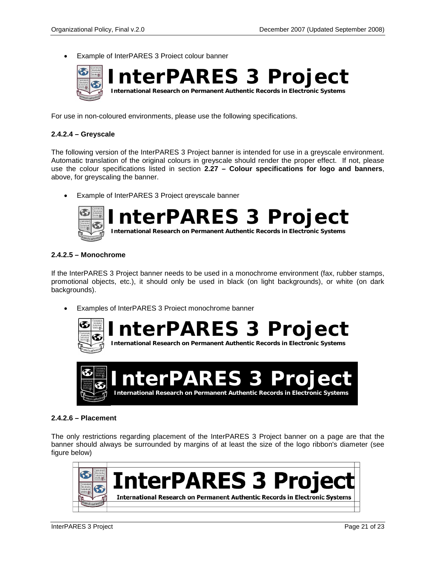Example of InterPARES 3 Project colour banner



For use in non-coloured environments, please use the following specifications.

#### **2.4.2.4 – Greyscale**

The following version of the InterPARES 3 Project banner is intended for use in a greyscale environment. Automatic translation of the original colours in greyscale should render the proper effect. If not, please use the colour specifications listed in section **2.27 – Colour specifications for logo and banners**, above, for greyscaling the banner.

Example of InterPARES 3 Project greyscale banner



**InterPARES 3 Project**

 **International Research on Permanent Authentic Records in Electronic Systems**

#### **2.4.2.5 – Monochrome**

If the InterPARES 3 Project banner needs to be used in a monochrome environment (fax, rubber stamps, promotional objects, etc.), it should only be used in black (on light backgrounds), or white (on dark backgrounds).

Examples of InterPARES 3 Project monochrome banner



**[I](http://wikimediafoundation.org/wiki/Image:Logo_blackwhite_wikimedia.png)nterPARES 3 Project International Research on Permanent Authentic Records in Electronic Systems**



#### **2.4.2.6 – Placement**

The only restrictions regarding placement of the InterPARES 3 Project banner on a page are that the banner should always be surrounded by margins of at least the size of the logo ribbon's diameter (see figure below)

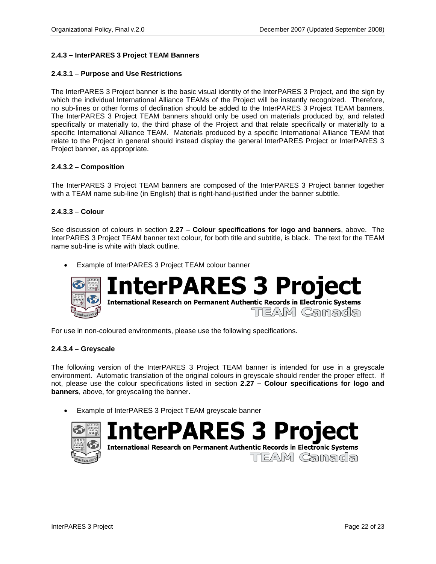#### **2.4.3 – InterPARES 3 Project TEAM Banners**

#### **2.4.3.1 – Purpose and Use Restrictions**

The InterPARES 3 Project banner is the basic visual identity of the InterPARES 3 Project, and the sign by which the individual International Alliance TEAMs of the Project will be instantly recognized. Therefore, no sub-lines or other forms of declination should be added to the InterPARES 3 Project TEAM banners. The InterPARES 3 Project TEAM banners should only be used on materials produced by, and related specifically or materially to, the third phase of the Project and that relate specifically or materially to a specific International Alliance TEAM. Materials produced by a specific International Alliance TEAM that relate to the Project in general should instead display the general InterPARES Project or InterPARES 3 Project banner, as appropriate.

#### **2.4.3.2 – Composition**

The InterPARES 3 Project TEAM banners are composed of the InterPARES 3 Project banner together with a TEAM name sub-line (in English) that is right-hand-justified under the banner subtitle.

#### **2.4.3.3 – Colour**

See discussion of colours in section **2.27 – Colour specifications for logo and banners**, above. The InterPARES 3 Project TEAM banner text colour, for both title and subtitle, is black. The text for the TEAM name sub-line is white with black outline.

Example of InterPARES 3 Project TEAM colour banner



For use in non-coloured environments, please use the following specifications.

#### **2.4.3.4 – Greyscale**

The following version of the InterPARES 3 Project TEAM banner is intended for use in a greyscale environment. Automatic translation of the original colours in greyscale should render the proper effect. If not, please use the colour specifications listed in section **2.27 – Colour specifications for logo and banners**, above, for greyscaling the banner.

• Example of InterPARES 3 Project TEAM greyscale banner